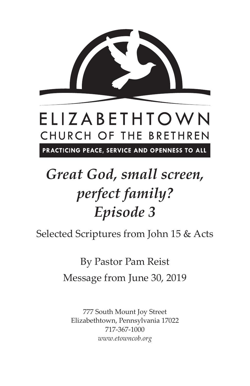

## ELIZABETHTOWN CHURCH OF THE BRETHREN

PRACTICING PEACE, SERVICE AND OPENNESS TO ALL

## *Great God, small screen, perfect family? Episode 3*

Selected Scriptures from John 15 & Acts

By Pastor Pam Reist Message from June 30, 2019

777 South Mount Joy Street Elizabethtown, Pennsylvania 17022 717-367-1000 *www.etowncob.org*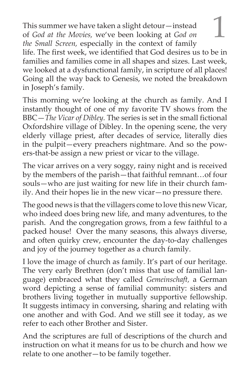This summer we have taken a slight detour—instead<br>of *God at the Movies*, we've been looking at *God on* of *God at the Movies,* we've been looking at *God on the Small Screen,* especially in the context of family life. The first week, we identified that God desires us to be in families and families come in all shapes and sizes. Last week, we looked at a dysfunctional family, in scripture of all places! Going all the way back to Genesis, we noted the breakdown in Joseph's family.

This morning we're looking at the church as family. And I instantly thought of one of my favorite TV shows from the BBC—*The Vicar of Dibley.* The series is set in the small fictional Oxfordshire village of Dibley. In the opening scene, the very elderly village priest, after decades of service, literally dies in the pulpit—every preachers nightmare. And so the powers-that-be assign a new priest or vicar to the village.

The vicar arrives on a very soggy, rainy night and is received by the members of the parish—that faithful remnant…of four souls—who are just waiting for new life in their church family. And their hopes lie in the new vicar—no pressure there.

The good news is that the villagers come to love this new Vicar, who indeed does bring new life, and many adventures, to the parish. And the congregation grows, from a few faithful to a packed house! Over the many seasons, this always diverse, and often quirky crew, encounter the day-to-day challenges and joy of the journey together as a church family.

I love the image of church as family. It's part of our heritage. The very early Brethren (don't miss that use of familial language) embraced what they called *Gemeinschaft,* a German word depicting a sense of familial community: sisters and brothers living together in mutually supportive fellowship. It suggests intimacy in conversing, sharing and relating with one another and with God. And we still see it today, as we refer to each other Brother and Sister.

And the scriptures are full of descriptions of the church and instruction on what it means for us to be church and how we relate to one another—to be family together.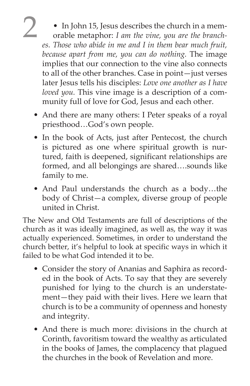- 2 In John 15, Jesus describes the church in a mem-orable metaphor: *I am the vine, you are the branches. Those who abide in me and I in them bear much fruit, because apart from me, you can do nothing.* The image implies that our connection to the vine also connects to all of the other branches. Case in point—just verses later Jesus tells his disciples: *Love one another as I have loved you.* This vine image is a description of a community full of love for God, Jesus and each other.
	- And there are many others: I Peter speaks of a royal priesthood…God's own people.
	- In the book of Acts, just after Pentecost, the church is pictured as one where spiritual growth is nurtured, faith is deepened, significant relationships are formed, and all belongings are shared….sounds like family to me.
	- And Paul understands the church as a body…the body of Christ—a complex, diverse group of people united in Christ.

The New and Old Testaments are full of descriptions of the church as it was ideally imagined, as well as, the way it was actually experienced. Sometimes, in order to understand the church better, it's helpful to look at specific ways in which it failed to be what God intended it to be.

- Consider the story of Ananias and Saphira as recorded in the book of Acts. To say that they are severely punished for lying to the church is an understatement—they paid with their lives. Here we learn that church is to be a community of openness and honesty and integrity.
- And there is much more: divisions in the church at Corinth, favoritism toward the wealthy as articulated in the books of James, the complacency that plagued the churches in the book of Revelation and more.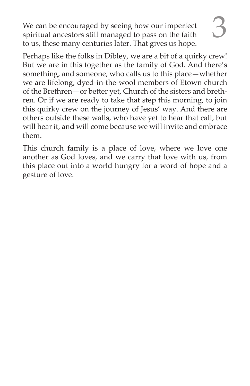We can be encouraged by seeing how our imperfect spiritual ancestors still managed to pass on the faith to us, these many centuries later. That gives us hope.

Perhaps like the folks in Dibley, we are a bit of a quirky crew! But we are in this together as the family of God. And there's something, and someone, who calls us to this place—whether we are lifelong, dyed-in-the-wool members of Etown church of the Brethren—or better yet, Church of the sisters and brethren. Or if we are ready to take that step this morning, to join this quirky crew on the journey of Jesus' way. And there are others outside these walls, who have yet to hear that call, but will hear it, and will come because we will invite and embrace them.

This church family is a place of love, where we love one another as God loves, and we carry that love with us, from this place out into a world hungry for a word of hope and a gesture of love.